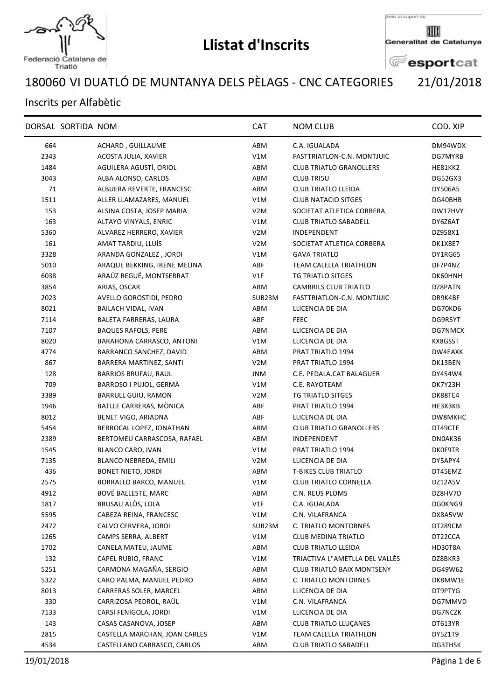

## **Llistat d'Inscrits**

Amb el suport de

▥ Generalitat de Catalunya

**E**esportcat

## VI DUATLÓ DE MUNTANYA DELS PÈLAGS - CNC CATEGORIES 21/01/2018

## Inscrits per Alfabètic

| DORSAL SORTIDA NOM<br><b>CAT</b><br><b>NOM CLUB</b>                               | COD. XIP |
|-----------------------------------------------------------------------------------|----------|
| 664<br>ACHARD, GUILLAUME<br>ABM<br>C.A. IGUALADA                                  | DM94WDX  |
| V1M<br>2343<br>ACOSTA JULIA, XAVIER<br>FASTTRIATLON-C.N. MONTJUIC                 | DG7MYRB  |
| AGUILERA AGUSTÍ, ORIOL<br>1484<br>ABM<br><b>CLUB TRIATLO GRANOLLERS</b>           | HE81KK2  |
| 3043<br>ALBA ALONSO, CARLOS<br>ABM<br><b>CLUB TRI5U</b>                           | DG52GX3  |
| 71<br>ALBUERA REVERTE, FRANCESC<br>ABM<br><b>CLUB TRIATLO LLEIDA</b>              | DY506A5  |
| <b>CLUB NATACIO SITGES</b><br>1511<br>ALLER LLAMAZARES, MANUEL<br>V1M             | DG40BHB  |
| 153<br>ALSINA COSTA, JOSEP MARIA<br>V <sub>2</sub> M<br>SOCIETAT ATLETICA CORBERA | DW17HVY  |
| 163<br>V1M<br>ALTAYO VINYALS, ENRIC<br><b>CLUB TRIATLO SABADELL</b>               | DY6Z6AT  |
| 5360<br>ALVAREZ HERRERO, XAVIER<br>V <sub>2</sub> M<br>INDEPENDENT                | DZ958X1  |
| 161<br>AMAT TARDIU, LLUÍS<br>V <sub>2</sub> M<br>SOCIETAT ATLETICA CORBERA        | DK1X8E7  |
| ARANDA GONZALEZ, JORDI<br><b>GAVA TRIATLO</b><br>3328<br>V1M                      | DY1RG65  |
| 5010<br>ARAQUE BEKKING, IRENE MELINA<br>ABF<br><b>TEAM CALELLA TRIATHLON</b>      | DF7P4NZ  |
| ARAÚZ REGUÉ, MONTSERRAT<br>6038<br>V1F<br>TG TRIATLO SITGES                       | DK60HNH  |
| 3854<br>ARIAS, OSCAR<br>ABM<br>CAMBRILS CLUB TRIATLO                              | DZ8PATN  |
| 2023<br>AVELLO GOROSTIDI, PEDRO<br>SUB23M<br>FASTTRIATLON-C.N. MONTJUIC           | DR9K4BF  |
| 8021<br>BAILACH VIDAL, IVAN<br>ABM<br>LLICENCIA DE DIA                            | DG70KD6  |
| 7114<br>BALETA FARRERAS, LAURA<br>ABF<br><b>FEEC</b>                              | DG9R5YT  |
| 7107<br><b>BAQUES RAFOLS, PERE</b><br>ABM<br>LLICENCIA DE DIA                     | DG7NMCX  |
| 8020<br>BARAHONA CARRASCO, ANTONI<br>V1M<br>LLICENCIA DE DIA                      | KX8GSST  |
| 4774<br>BARRANCO SANCHEZ, DAVID<br>ABM<br>PRAT TRIATLO 1994                       | DW4EAXK  |
| 867<br>BARRERA MARTINEZ, SANTI<br>V <sub>2</sub> M<br>PRAT TRIATLO 1994           | DK13BEN  |
| 128<br><b>BARRIOS BRUFAU, RAUL</b><br>JNM<br>C.E. PEDALA.CAT BALAGUER             | DY454W4  |
| 709<br>BARROSO I PUJOL, GERMÀ<br>V1M<br>C.E. RAYOTEAM                             | DK7Y23H  |
| <b>BARRULL GUIU, RAMON</b><br>3389<br>V <sub>2</sub> M<br>TG TRIATLO SITGES       | DK88TE4  |
| BATLLE CARRERAS, MÒNICA<br>1946<br>ABF<br>PRAT TRIATLO 1994                       | HE3X3KB  |
| ABF<br>8012<br>BENET VIGO, ARIADNA<br>LLICENCIA DE DIA                            | DW8MKHC  |
| 5454<br>BERROCAL LOPEZ, JONATHAN<br>ABM<br><b>CLUB TRIATLO GRANOLLERS</b>         | DT49CTE  |
| 2389<br>BERTOMEU CARRASCOSA, RAFAEL<br>ABM<br>INDEPENDENT                         | DN0AK36  |
| BLANCO CARO, IVAN<br>1545<br>V1M<br>PRAT TRIATLO 1994                             | DK0F9TR  |
| 7135<br>BLANCO NEBREDA, EMILI<br>V <sub>2</sub> M<br>LLICENCIA DE DIA             | DY5APY4  |
| 436<br><b>BONET NIETO, JORDI</b><br>ABM<br><b>T-BIKES CLUB TRIATLO</b>            | DT45EMZ  |
| 2575<br>BORRALLO BARCO, MANUEL<br>V1M<br><b>CLUB TRIATLO CORNELLA</b>             | DZ12A5V  |
| BOVÉ BALLESTE, MARC<br>4912<br>C.N. REUS PLOMS<br>ABM                             | DZ8HV7D  |
| BRUSAU ALÒS, LOLA<br>V1F<br>1817<br>C.A. IGUALADA                                 | DG0KNG9  |
| 5595<br>CABEZA REINA, FRANCESC<br>V1M<br>C.N. VILAFRANCA                          | DX8A5VW  |
| 2472<br>CALVO CERVERA, JORDI<br>SUB23M<br>C. TRIATLO MONTORNES                    | DT289CM  |
| CAMPS SERRA, ALBERT<br>V1M<br>1265<br>CLUB MEDINA TRIATLO                         | DT22CCA  |
| 1702<br>CANELA MATEU, JAUME<br>ABM<br><b>CLUB TRIATLO LLEIDA</b>                  | HD30T8A  |
| TRIACTIVA L"AMETLLA DEL VALLÈS<br>132<br>CAPEL RUBIO, FRANC<br>V1M                | DZ8BKR3  |
| CARMONA MAGAÑA, SERGIO<br>CLUB TRIATLÓ BAIX MONTSENY<br>5251<br>ABM               | DG49W62  |
| 5322<br>CARO PALMA, MANUEL PEDRO<br>ABM<br>C. TRIATLO MONTORNES                   | DK8MW1E  |
| 8013<br>CARRERAS SOLER, MARCEL<br>ABM<br>LLICENCIA DE DIA                         | DT9PTYG  |
| 330<br>CARRIZOSA PEDROL, RAÜL<br>V1M<br>C.N. VILAFRANCA                           | DG7MMVD  |
| 7133<br>CARSI FENIGOLA, JORDI<br>V1M<br>LLICENCIA DE DIA                          | DG7NCZK  |
| 143<br>CASAS CASANOVA, JOSEP<br><b>CLUB TRIATLO LLUÇANES</b><br>ABM               | DT613YR  |
| 2815<br>CASTELLA MARCHAN, JOAN CARLES<br>TEAM CALELLA TRIATHLON<br>V1M            | DY5Z1T9  |
| 4534<br>CASTELLANO CARRASCO, CARLOS<br>ABM<br><b>CLUB TRIATLO SABADELL</b>        | DG3THSK  |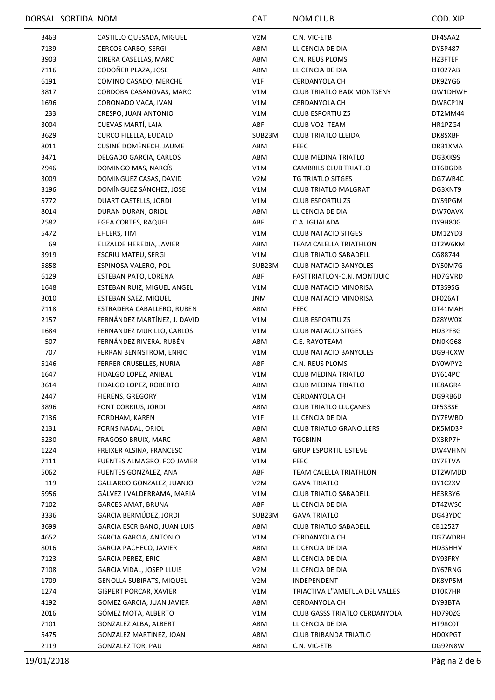|      | DORSAL SORTIDA NOM |                               | <b>CAT</b>       | <b>NOM CLUB</b>                | COD. XIP       |
|------|--------------------|-------------------------------|------------------|--------------------------------|----------------|
| 3463 |                    | CASTILLO QUESADA, MIGUEL      | V2M              | C.N. VIC-ETB                   | DF4SAA2        |
| 7139 |                    | <b>CERCOS CARBO, SERGI</b>    | ABM              | LLICENCIA DE DIA               | DY5P487        |
| 3903 |                    | CIRERA CASELLAS, MARC         | ABM              | C.N. REUS PLOMS                | HZ3FTEF        |
| 7116 |                    | CODOÑER PLAZA, JOSE           | ABM              | LLICENCIA DE DIA               | DT027AB        |
| 6191 |                    | COMINO CASADO, MERCHE         | V1F              | CERDANYOLA CH                  | DK9ZYG6        |
| 3817 |                    | CORDOBA CASANOVAS, MARC       | V1M              | CLUB TRIATLÓ BAIX MONTSENY     | DW1DHWH        |
| 1696 |                    | CORONADO VACA, IVAN           | V1M              | CERDANYOLA CH                  | DW8CP1N        |
| 233  |                    | CRESPO, JUAN ANTONIO          | V1M              | <b>CLUB ESPORTIU Z5</b>        | DT2MM44        |
| 3004 |                    | CUEVAS MARTÍ, LAIA            | ABF              | CLUB VO2 TEAM                  | HR1PZG4        |
| 3629 |                    | <b>CURCO FILELLA, EUDALD</b>  | SUB23M           | <b>CLUB TRIATLO LLEIDA</b>     | DK8SXBF        |
| 8011 |                    | CUSINÉ DOMÈNECH, JAUME        | ABM              | <b>FEEC</b>                    | DR31XMA        |
| 3471 |                    | DELGADO GARCIA, CARLOS        | ABM              | <b>CLUB MEDINA TRIATLO</b>     | DG3XK9S        |
| 2946 |                    | DOMINGO MAS, NARCÍS           | V1M              | CAMBRILS CLUB TRIATLO          | DT6DGDB        |
| 3009 |                    | DOMINGUEZ CASAS, DAVID        | V2M              | <b>TG TRIATLO SITGES</b>       | DG7WB4C        |
| 3196 |                    | DOMÍNGUEZ SÁNCHEZ, JOSE       | V1M              | <b>CLUB TRIATLO MALGRAT</b>    | DG3XNT9        |
| 5772 |                    | DUART CASTELLS, JORDI         | V1M              | <b>CLUB ESPORTIU Z5</b>        | DY59PGM        |
| 8014 |                    | DURAN DURAN, ORIOL            | ABM              | LLICENCIA DE DIA               | DW70AVX        |
| 2582 |                    | EGEA CORTES, RAQUEL           | ABF              | C.A. IGUALADA                  | DY9H80G        |
| 5472 |                    | EHLERS, TIM                   | V1M              | <b>CLUB NATACIO SITGES</b>     | DM12YD3        |
| 69   |                    | ELIZALDE HEREDIA, JAVIER      | ABM              | TEAM CALELLA TRIATHLON         | DT2W6KM        |
| 3919 |                    | <b>ESCRIU MATEU, SERGI</b>    | V1M              | <b>CLUB TRIATLO SABADELL</b>   | CG88744        |
| 5858 |                    | ESPINOSA VALERO, POL          | SUB23M           | <b>CLUB NATACIO BANYOLES</b>   | DY50M7G        |
| 6129 |                    | ESTEBAN PATO, LORENA          | ABF              | FASTTRIATLON-C.N. MONTJUIC     | HD7GVRD        |
| 1648 |                    | ESTEBAN RUIZ, MIGUEL ANGEL    | V1M              | CLUB NATACIO MINORISA          | DT3S9SG        |
| 3010 |                    | ESTEBAN SAEZ, MIQUEL          | JNM              | CLUB NATACIO MINORISA          | DF026AT        |
| 7118 |                    | ESTRADERA CABALLERO, RUBEN    | ABM              | <b>FEEC</b>                    | DT41MAH        |
| 2157 |                    | FERNÁNDEZ MARTÍNEZ, J. DAVID  | V1M              | <b>CLUB ESPORTIU Z5</b>        | DZ8YW0X        |
| 1684 |                    | FERNANDEZ MURILLO, CARLOS     | V1M              | <b>CLUB NATACIO SITGES</b>     | HD3PF8G        |
| 507  |                    | FERNÁNDEZ RIVERA, RUBÉN       | ABM              | C.E. RAYOTEAM                  | DN0KG68        |
| 707  |                    | FERRAN BENNSTROM, ENRIC       | V1M              | <b>CLUB NATACIO BANYOLES</b>   | DG9HCXW        |
| 5146 |                    | FERRER CRUSELLES, NURIA       | ABF              | C.N. REUS PLOMS                | DY0WPY2        |
| 1647 |                    | FIDALGO LOPEZ, ANIBAL         | V1M              | <b>CLUB MEDINA TRIATLO</b>     | DY614PC        |
| 3614 |                    | FIDALGO LOPEZ, ROBERTO        | ABM              | <b>CLUB MEDINA TRIATLO</b>     | HE8AGR4        |
| 2447 |                    | FIERENS, GREGORY              | V1M              | CERDANYOLA CH                  | DG9RB6D        |
| 3896 |                    | FONT CORRIUS, JORDI           | ABM              | CLUB TRIATLO LLUÇANES          | DF533SE        |
| 7136 |                    | FORDHAM, KAREN                | V1F              | LLICENCIA DE DIA               | DY7EWBD        |
| 2131 |                    | FORNS NADAL, ORIOL            | ABM              | <b>CLUB TRIATLO GRANOLLERS</b> | DK5MD3P        |
| 5230 |                    | FRAGOSO BRUIX, MARC           | ABM              | TGCBINN                        | DX3RP7H        |
| 1224 |                    | FREIXER ALSINA, FRANCESC      | V1M              | <b>GRUP ESPORTIU ESTEVE</b>    | DW4VHNN        |
| 7111 |                    | FUENTES ALMAGRO, FCO JAVIER   | V1M              | <b>FEEC</b>                    | DY7ETVA        |
| 5062 |                    | FUENTES GONZALEZ, ANA         | ABF              | <b>TEAM CALELLA TRIATHLON</b>  | DT2WMDD        |
| 119  |                    | GALLARDO GONZALEZ, JUANJO     | V <sub>2</sub> M | <b>GAVA TRIATLO</b>            | DY1C2XV        |
| 5956 |                    | GÀLVEZ I VALDERRAMA, MARIÀ    | V1M              | <b>CLUB TRIATLO SABADELL</b>   | HE3R3Y6        |
| 7102 |                    | <b>GARCES AMAT, BRUNA</b>     | ABF              | LLICENCIA DE DIA               | DT4ZWSC        |
| 3336 |                    | GARCIA BERMÚDEZ, JORDI        | SUB23M           | <b>GAVA TRIATLO</b>            | DG43YDC        |
| 3699 |                    | GARCIA ESCRIBANO, JUAN LUIS   | ABM              | <b>CLUB TRIATLO SABADELL</b>   | CB12527        |
| 4652 |                    | <b>GARCIA GARCIA, ANTONIO</b> | V1M              | CERDANYOLA CH                  | DG7WDRH        |
| 8016 |                    | GARCIA PACHECO, JAVIER        | ABM              | LLICENCIA DE DIA               | HD3SHHV        |
| 7123 |                    | GARCIA PEREZ, ERIC            | ABM              | LLICENCIA DE DIA               | DY93FRY        |
| 7108 |                    | GARCIA VIDAL, JOSEP LLUIS     | V <sub>2</sub> M | LLICENCIA DE DIA               | DY67RNG        |
| 1709 |                    | GENOLLA SUBIRATS, MIQUEL      | V <sub>2</sub> M | INDEPENDENT                    | DK8VP5M        |
| 1274 |                    | <b>GISPERT PORCAR, XAVIER</b> | V1M              | TRIACTIVA L"AMETLLA DEL VALLÈS | DT0K7HR        |
| 4192 |                    | GOMEZ GARCIA, JUAN JAVIER     | ABM              | CERDANYOLA CH                  | DY93BTA        |
| 2016 |                    | GÓMEZ MOTA, ALBERTO           | V1M              | CLUB GASSS TRIATLO CERDANYOLA  | HD790ZG        |
| 7101 |                    | GONZALEZ ALBA, ALBERT         | ABM              | LLICENCIA DE DIA               | HT98C0T        |
| 5475 |                    | GONZALEZ MARTINEZ, JOAN       | ABM              | <b>CLUB TRIBANDA TRIATLO</b>   | <b>HD0XPGT</b> |
| 2119 |                    | GONZALEZ TOR, PAU             | ABM              | C.N. VIC-ETB                   | DG92N8W        |
|      |                    |                               |                  |                                |                |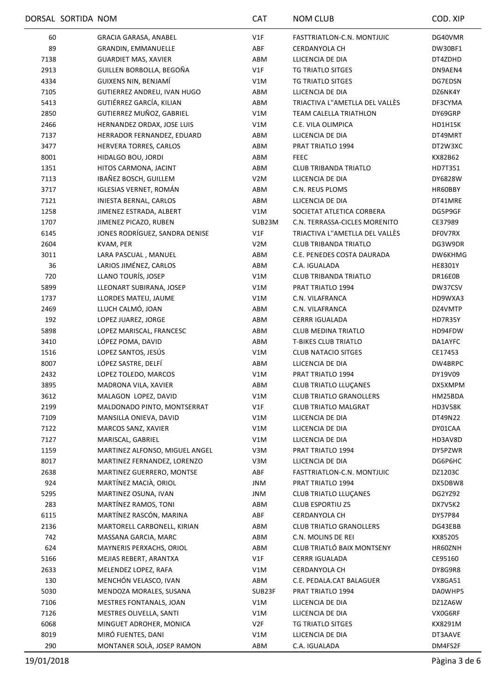|      | DORSAL SORTIDA NOM |                                | <b>CAT</b>       | <b>NOM CLUB</b>                | COD. XIP       |
|------|--------------------|--------------------------------|------------------|--------------------------------|----------------|
| 60   |                    | GRACIA GARASA, ANABEL          | V1F              | FASTTRIATLON-C.N. MONTJUIC     | DG40VMR        |
| 89   |                    | <b>GRANDIN, EMMANUELLE</b>     | ABF              | <b>CERDANYOLA CH</b>           | DW30BF1        |
| 7138 |                    | <b>GUARDIET MAS, XAVIER</b>    | ABM              | LLICENCIA DE DIA               | DT4ZDHD        |
| 2913 |                    | GUILLEN BORBOLLA, BEGOÑA       | V1F              | TG TRIATLO SITGES              | DN9AEN4        |
| 4334 |                    | GUIXENS NIN, BENJAMÍ           | V1M              | TG TRIATLO SITGES              | DG7EDSN        |
| 7105 |                    | GUTIERREZ ANDREU, IVAN HUGO    | ABM              | LLICENCIA DE DIA               | DZ6NK4Y        |
| 5413 |                    | GUTIÉRREZ GARCÍA, KILIAN       | ABM              | TRIACTIVA L"AMETLLA DEL VALLÈS | DF3CYMA        |
| 2850 |                    | GUTIERREZ MUÑOZ, GABRIEL       | V1M              | TEAM CALELLA TRIATHLON         | DY69GRP        |
| 2466 |                    | HERNANDEZ ORDAX, JOSE LUIS     | V1M              | C.E. VILA OLIMPICA             | HD1H1SK        |
| 7137 |                    | HERRADOR FERNANDEZ, EDUARD     | ABM              | LLICENCIA DE DIA               | DT49MRT        |
| 3477 |                    | HERVERA TORRES, CARLOS         | ABM              | PRAT TRIATLO 1994              | DT2W3XC        |
|      |                    |                                |                  |                                |                |
| 8001 |                    | HIDALGO BOU, JORDI             | ABM              | <b>FEEC</b>                    | KX82B62        |
| 1351 |                    | HITOS CARMONA, JACINT          | ABM              | <b>CLUB TRIBANDA TRIATLO</b>   | HD7T351        |
| 7113 |                    | IBAÑEZ BOSCH, GUILLEM          | V <sub>2</sub> M | LLICENCIA DE DIA               | DY6828W        |
| 3717 |                    | IGLESIAS VERNET, ROMÁN         | ABM              | C.N. REUS PLOMS                | HR60BBY        |
| 7121 |                    | INIESTA BERNAL, CARLOS         | ABM              | LLICENCIA DE DIA               | DT41MRE        |
| 1258 |                    | JIMENEZ ESTRADA, ALBERT        | V1M              | SOCIETAT ATLETICA CORBERA      | DG5P9GF        |
| 1707 |                    | JIMENEZ PICAZO, RUBEN          | SUB23M           | C.N. TERRASSA-CICLES MORENITO  | CE37989        |
| 6145 |                    | JONES RODRÍGUEZ, SANDRA DENISE | V1F              | TRIACTIVA L"AMETLLA DEL VALLÈS | DF0V7RX        |
| 2604 |                    | KVAM, PER                      | V <sub>2</sub> M | <b>CLUB TRIBANDA TRIATLO</b>   | DG3W9DR        |
| 3011 |                    | LARA PASCUAL, MANUEL           | ABM              | C.E. PENEDES COSTA DAURADA     | DW6KHMG        |
| 36   |                    | LARIOS JIMÉNEZ, CARLOS         | ABM              | C.A. IGUALADA                  | <b>HE8301Y</b> |
| 720  |                    | LLANO TOURÍS, JOSEP            | V1M              | <b>CLUB TRIBANDA TRIATLO</b>   | DR16E0B        |
| 5899 |                    | LLEONART SUBIRANA, JOSEP       | V1M              | PRAT TRIATLO 1994              | DW37CSV        |
| 1737 |                    | LLORDES MATEU, JAUME           | V1M              | C.N. VILAFRANCA                | HD9WXA3        |
| 2469 |                    | LLUCH CALMÓ, JOAN              | ABM              | C.N. VILAFRANCA                | DZ4VMTP        |
| 192  |                    | LOPEZ JUAREZ, JORGE            | ABM              | <b>CERRR IGUALADA</b>          | HD7R35Y        |
| 5898 |                    | LOPEZ MARISCAL, FRANCESC       | ABM              | <b>CLUB MEDINA TRIATLO</b>     | HD94FDW        |
| 3410 |                    | LÓPEZ POMA, DAVID              | ABM              | <b>T-BIKES CLUB TRIATLO</b>    | DA1AYFC        |
| 1516 |                    | LOPEZ SANTOS, JESÚS            | V1M              | <b>CLUB NATACIO SITGES</b>     | CE17453        |
| 8007 |                    | LÓPEZ SASTRE, DELFÍ            | ABM              | LLICENCIA DE DIA               | DW4BRPC        |
| 2432 |                    | LOPEZ TOLEDO, MARCOS           | V1M              | PRAT TRIATLO 1994              | DY19V09        |
| 3895 |                    | MADRONA VILA, XAVIER           | ABM              |                                | DX5XMPM        |
|      |                    |                                |                  | CLUB TRIATLO LLUÇANES          |                |
| 3612 |                    | MALAGON LOPEZ, DAVID           | V1M              | <b>CLUB TRIATLO GRANOLLERS</b> | HM25BDA        |
| 2199 |                    | MALDONADO PINTO, MONTSERRAT    | V1F              | <b>CLUB TRIATLO MALGRAT</b>    | HD3V58K        |
| 7109 |                    | MANSILLA ONIEVA, DAVID         | V1M              | LLICENCIA DE DIA               | DT49N22        |
| 7122 |                    | MARCOS SANZ, XAVIER            | V1M              | LLICENCIA DE DIA               | DY01CAA        |
| 7127 |                    | MARISCAL, GABRIEL              | V1M              | LLICENCIA DE DIA               | HD3AV8D        |
| 1159 |                    | MARTINEZ ALFONSO, MIGUEL ANGEL | V3M              | PRAT TRIATLO 1994              | DY5PZWR        |
| 8017 |                    | MARTINEZ FERNANDEZ, LORENZO    | V3M              | LLICENCIA DE DIA               | DG6P6HC        |
| 2638 |                    | MARTINEZ GUERRERO, MONTSE      | ABF              | FASTTRIATLON-C.N. MONTJUIC     | DZ1203C        |
| 924  |                    | MARTÍNEZ MACIÀ, ORIOL          | JNM              | PRAT TRIATLO 1994              | DX5DBW8        |
| 5295 |                    | MARTINEZ OSUNA, IVAN           | JNM              | <b>CLUB TRIATLO LLUÇANES</b>   | DG2YZ92        |
| 283  |                    | MARTÍNEZ RAMOS, TONI           | ABM              | <b>CLUB ESPORTIU Z5</b>        | DX7V5K2        |
| 6115 |                    | MARTÍNEZ RASCÓN, MARINA        | ABF              | CERDANYOLA CH                  | DY57P84        |
| 2136 |                    | MARTORELL CARBONELL, KIRIAN    | ABM              | <b>CLUB TRIATLO GRANOLLERS</b> | DG43EBB        |
| 742  |                    | MASSANA GARCIA, MARC           | ABM              | C.N. MOLINS DE REI             | KX85205        |
| 624  |                    | MAYNERIS PERXACHS, ORIOL       | ABM              | CLUB TRIATLÓ BAIX MONTSENY     | HR60ZNH        |
| 5166 |                    | MEJIAS REBERT, ARANTXA         | V1F              | <b>CERRR IGUALADA</b>          | CE95160        |
| 2633 |                    | MELENDEZ LOPEZ, RAFA           | V1M              | <b>CERDANYOLA CH</b>           | DY8G9R8        |
| 130  |                    | MENCHÓN VELASCO, IVAN          | ABM              | C.E. PEDALA.CAT BALAGUER       | VX8GA51        |
| 5030 |                    | MENDOZA MORALES, SUSANA        | SUB23F           | PRAT TRIATLO 1994              | DA0WHP5        |
| 7106 |                    | MESTRES FONTANALS, JOAN        | V1M              | LLICENCIA DE DIA               | DZ1ZA6W        |
| 7126 |                    | MESTRES OLIVELLA, SANTI        | V1M              | LLICENCIA DE DIA               | VX0G6RF        |
| 6068 |                    | MINGUET ADROHER, MONICA        | V2F              | TG TRIATLO SITGES              | KX8291M        |
| 8019 |                    | MIRÓ FUENTES, DANI             | V1M              | LLICENCIA DE DIA               | DT3AAVE        |
|      |                    | MONTANER SOLÀ, JOSEP RAMON     |                  |                                |                |
| 290  |                    |                                | ABM              | C.A. IGUALADA                  | DM4FS2F        |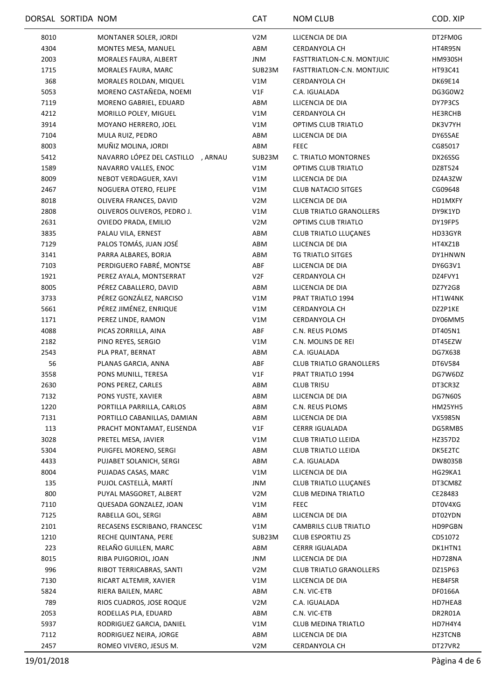|      | DORSAL SORTIDA NOM                             | CAT              | NOM CLUB                          | COD. XIP           |
|------|------------------------------------------------|------------------|-----------------------------------|--------------------|
| 8010 | MONTANER SOLER, JORDI                          | V <sub>2</sub> M | LLICENCIA DE DIA                  | DT2FM0G            |
| 4304 | MONTES MESA, MANUEL                            | ABM              | CERDANYOLA CH                     | HT4R95N            |
| 2003 | MORALES FAURA, ALBERT                          | JNM              | FASTTRIATLON-C.N. MONTJUIC        | HM930SH            |
| 1715 | <b>MORALES FAURA, MARC</b>                     | SUB23M           | FASTTRIATLON-C.N. MONTJUIC        | HT93C41            |
| 368  | MORALES ROLDAN, MIQUEL                         | V1M              | CERDANYOLA CH                     | <b>DK69E14</b>     |
| 5053 | MORENO CASTAÑEDA, NOEMI                        | V1F              | C.A. IGUALADA                     | DG3G0W2            |
| 7119 | MORENO GABRIEL, EDUARD                         | ABM              | LLICENCIA DE DIA                  | DY7P3CS            |
| 4212 | MORILLO POLEY, MIGUEL                          | V1M              | CERDANYOLA CH                     | HE3RCHB            |
| 3914 | MOYANO HERRERO, JOEL                           | V1M              | OPTIMS CLUB TRIATLO               | DK3V7YH            |
| 7104 | MULA RUIZ, PEDRO                               | ABM              | LLICENCIA DE DIA                  | DY65SAE            |
| 8003 | MUÑIZ MOLINA, JORDI                            | ABM              | <b>FEEC</b>                       | CG85017            |
| 5412 | NAVARRO LÓPEZ DEL CASTILLO, ARNAU              | SUB23M           | C. TRIATLO MONTORNES              | DX26SSG            |
| 1589 | NAVARRO VALLES, ENOC                           | V1M              | OPTIMS CLUB TRIATLO               | DZ8T524            |
| 8009 | NEBOT VERDAGUER, XAVI                          | V1M              | LLICENCIA DE DIA                  | DZ4A3ZW            |
| 2467 | NOGUERA OTERO, FELIPE                          | V1M              | <b>CLUB NATACIO SITGES</b>        | CG09648            |
| 8018 | OLIVERA FRANCES, DAVID                         | V <sub>2</sub> M | LLICENCIA DE DIA                  | HD1MXFY            |
| 2808 | OLIVEROS OLIVEROS, PEDRO J.                    | V1M              | <b>CLUB TRIATLO GRANOLLERS</b>    | DY9K1YD            |
| 2631 | OVIEDO PRADA, EMILIO                           | V <sub>2</sub> M | OPTIMS CLUB TRIATLO               | DY19FP5            |
| 3835 | PALAU VILA, ERNEST                             | ABM              | CLUB TRIATLO LLUÇANES             | HD33GYR            |
| 7129 | PALOS TOMÁS, JUAN JOSÉ                         | ABM              | LLICENCIA DE DIA                  | HT4XZ1B            |
| 3141 | PARRA ALBARES, BORJA                           | ABM              | TG TRIATLO SITGES                 | DY1HNWN            |
| 7103 | PERDIGUERO FABRÉ, MONTSE                       | ABF              | LLICENCIA DE DIA                  | DY6G3V1            |
| 1921 | PEREZ AYALA, MONTSERRAT                        | V2F              | CERDANYOLA CH                     | DZ4FVY1            |
| 8005 | PÉREZ CABALLERO, DAVID                         | ABM              | LLICENCIA DE DIA                  | DZ7Y2G8            |
| 3733 | PÉREZ GONZÁLEZ, NARCISO                        | V1M              | PRAT TRIATLO 1994                 | HT1W4NK            |
| 5661 | PÉREZ JIMÉNEZ, ENRIQUE                         | V1M              | CERDANYOLA CH                     | DZ2P1KE            |
| 1171 | PEREZ LINDE, RAMON                             | V1M              | CERDANYOLA CH                     | DY06MM5            |
| 4088 | PICAS ZORRILLA, AINA                           | ABF              | C.N. REUS PLOMS                   | DT405N1            |
| 2182 | PINO REYES, SERGIO                             | V1M              | C.N. MOLINS DE REI                | DT45EZW            |
| 2543 | PLA PRAT, BERNAT                               | ABM              | C.A. IGUALADA                     | DG7X638            |
| 56   | PLANAS GARCIA, ANNA                            | ABF              | <b>CLUB TRIATLO GRANOLLERS</b>    | DT6V584            |
| 3558 | PONS MUNILL, TERESA                            | V1F              | PRAT TRIATLO 1994                 | DG7W6DZ            |
| 2630 | PONS PEREZ, CARLES                             | ABM              | <b>CLUB TRI5U</b>                 | DT3CR3Z            |
| 7132 | PONS YUSTE, XAVIER                             | ABM              | LLICENCIA DE DIA                  | DG7N60S            |
| 1220 | PORTILLA PARRILLA, CARLOS                      | ABM              | C.N. REUS PLOMS                   | <b>HM25YH5</b>     |
| 7131 | PORTILLO CABANILLAS, DAMIAN                    | ABM              | LLICENCIA DE DIA                  |                    |
| 113  |                                                | V1F              | <b>CERRR IGUALADA</b>             | VX5985N<br>DG5RMBS |
|      | PRACHT MONTAMAT, ELISENDA                      |                  | <b>CLUB TRIATLO LLEIDA</b>        |                    |
| 3028 | PRETEL MESA, JAVIER<br>PUIGFEL MORENO, SERGI   | V1M              |                                   | HZ357D2            |
| 5304 |                                                | ABM              | <b>CLUB TRIATLO LLEIDA</b>        | DK5E2TC            |
| 4433 | PUJABET SOLANICH, SERGI<br>PUJADAS CASAS, MARC | ABM              | C.A. IGUALADA<br>LLICENCIA DE DIA | DW8035B            |
| 8004 |                                                | V1M              |                                   | HG29KA1            |
| 135  | PUJOL CASTELLÀ, MARTÍ                          | JNM              | CLUB TRIATLO LLUÇANES             | DT3CM8Z            |
| 800  | PUYAL MASGORET, ALBERT                         | V <sub>2</sub> M | <b>CLUB MEDINA TRIATLO</b>        | CE28483            |
| 7110 | QUESADA GONZALEZ, JOAN                         | V1M              | <b>FEEC</b>                       | DT0V4XG            |
| 7125 | RABELLA GOL, SERGI                             | ABM              | LLICENCIA DE DIA                  | DT02YDN            |
| 2101 | RECASENS ESCRIBANO, FRANCESC                   | V1M              | CAMBRILS CLUB TRIATLO             | HD9PGBN            |
| 1210 | RECHE QUINTANA, PERE                           | SUB23M           | <b>CLUB ESPORTIU Z5</b>           | CD51072            |
| 223  | RELAÑO GUILLEN, MARC                           | ABM              | <b>CERRR IGUALADA</b>             | DK1HTN1            |
| 8015 | RIBA PUIGORIOL, JOAN                           | JNM              | LLICENCIA DE DIA                  | HD728NA            |
| 996  | RIBOT TERRICABRAS, SANTI                       | V2M              | <b>CLUB TRIATLO GRANOLLERS</b>    | DZ15P63            |
| 7130 | RICART ALTEMIR, XAVIER                         | V1M              | LLICENCIA DE DIA                  | HE84FSR            |
| 5824 | RIERA BAILEN, MARC                             | ABM              | C.N. VIC-ETB                      | DF0166A            |
| 789  | RIOS CUADROS, JOSE ROQUE                       | V <sub>2</sub> M | C.A. IGUALADA                     | HD7HEA8            |
| 2053 | RODELLAS PLA, EDUARD                           | ABM              | C.N. VIC-ETB                      | DR2R01A            |
| 5937 | RODRIGUEZ GARCIA, DANIEL                       | V1M              | <b>CLUB MEDINA TRIATLO</b>        | HD7H4Y4            |
| 7112 | RODRIGUEZ NEIRA, JORGE                         | ABM              | LLICENCIA DE DIA                  | HZ3TCNB            |
| 2457 | ROMEO VIVERO, JESUS M.                         | V2M              | CERDANYOLA CH                     | DT27VR2            |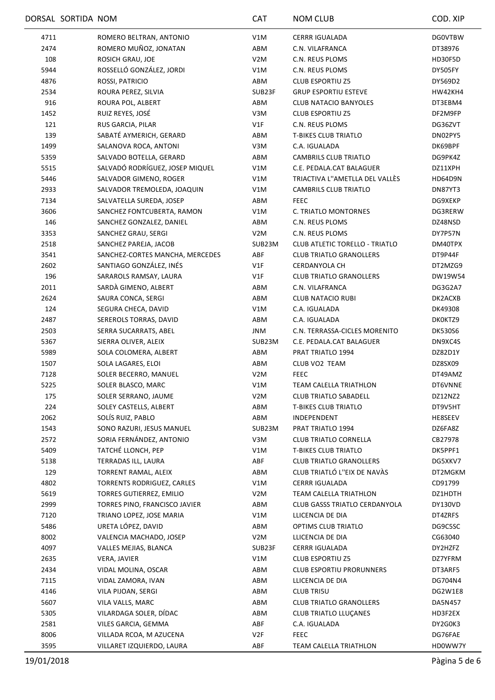|      | DORSAL SORTIDA NOM |                                   | <b>CAT</b>       | <b>NOM CLUB</b>                       | COD. XIP       |
|------|--------------------|-----------------------------------|------------------|---------------------------------------|----------------|
| 4711 |                    | ROMERO BELTRAN, ANTONIO           | V1M              | <b>CERRR IGUALADA</b>                 | <b>DGOVTBW</b> |
| 2474 |                    | ROMERO MUÑOZ, JONATAN             | ABM              | C.N. VILAFRANCA                       | DT38976        |
| 108  |                    | ROSICH GRAU, JOE                  | V <sub>2</sub> M | C.N. REUS PLOMS                       | HD30F5D        |
| 5944 |                    | ROSSELLÓ GONZÁLEZ, JORDI          | V1M              | C.N. REUS PLOMS                       | DY505FY        |
| 4876 |                    | ROSSI, PATRICIO                   | ABM              | <b>CLUB ESPORTIU Z5</b>               | DY569D2        |
| 2534 |                    | ROURA PEREZ, SILVIA               | SUB23F           | <b>GRUP ESPORTIU ESTEVE</b>           | HW42KH4        |
| 916  |                    | ROURA POL, ALBERT                 | ABM              | <b>CLUB NATACIO BANYOLES</b>          | DT3EBM4        |
| 1452 |                    | RUIZ REYES, JOSÉ                  | V3M              | <b>CLUB ESPORTIU Z5</b>               | DF2M9FP        |
| 121  |                    | RUS GARCIA, PILAR                 | V1F              | C.N. REUS PLOMS                       | DG36ZVT        |
| 139  |                    | SABATÉ AYMERICH, GERARD           | ABM              | <b>T-BIKES CLUB TRIATLO</b>           | DN02PY5        |
| 1499 |                    | SALANOVA ROCA, ANTONI             | V3M              | C.A. IGUALADA                         | DK69BPF        |
| 5359 |                    | SALVADO BOTELLA, GERARD           | ABM              | CAMBRILS CLUB TRIATLO                 | DG9PK4Z        |
| 5515 |                    | SALVADÓ RODRÍGUEZ, JOSEP MIQUEL   | V1M              | C.E. PEDALA.CAT BALAGUER              | DZ11XPH        |
| 5446 |                    | SALVADOR GIMENO, ROGER            | V1M              | TRIACTIVA L"AMETLLA DEL VALLÈS        | HD64D9N        |
| 2933 |                    | SALVADOR TREMOLEDA, JOAQUIN       | V1M              | CAMBRILS CLUB TRIATLO                 | DN87YT3        |
| 7134 |                    | SALVATELLA SUREDA, JOSEP          | ABM              | <b>FEEC</b>                           | DG9XEKP        |
| 3606 |                    | SANCHEZ FONTCUBERTA, RAMON        | V1M              | C. TRIATLO MONTORNES                  | DG3RERW        |
| 146  |                    | SANCHEZ GONZALEZ, DANIEL          | ABM              | C.N. REUS PLOMS                       | DZ48NSD        |
| 3353 |                    | SANCHEZ GRAU, SERGI               | V2M              | C.N. REUS PLOMS                       | DY7P57N        |
| 2518 |                    | SANCHEZ PAREJA, JACOB             | SUB23M           | <b>CLUB ATLETIC TORELLO - TRIATLO</b> | DM40TPX        |
| 3541 |                    | SANCHEZ-CORTES MANCHA, MERCEDES   | ABF              | <b>CLUB TRIATLO GRANOLLERS</b>        | DT9P44F        |
| 2602 |                    | SANTIAGO GONZÁLEZ, INÉS           | V1F              | CERDANYOLA CH                         | DT2MZG9        |
| 196  |                    | SARAROLS RAMSAY, LAURA            | V1F              | <b>CLUB TRIATLO GRANOLLERS</b>        | DW19W54        |
| 2011 |                    | SARDÀ GIMENO, ALBERT              | ABM              | C.N. VILAFRANCA                       | DG3G2A7        |
| 2624 |                    | SAURA CONCA, SERGI                | ABM              | <b>CLUB NATACIO RUBI</b>              | DK2ACXB        |
| 124  |                    | SEGURA CHECA, DAVID               | V1M              | C.A. IGUALADA                         | DK49308        |
| 2487 |                    | SEREROLS TORRAS, DAVID            | ABM              | C.A. IGUALADA                         | DK0KTZ9        |
| 2503 |                    | SERRA SUCARRATS, ABEL             | JNM              | C.N. TERRASSA-CICLES MORENITO         | <b>DK530S6</b> |
| 5367 |                    | SIERRA OLIVER, ALEIX              | SUB23M           | C.E. PEDALA.CAT BALAGUER              | DN9XC4S        |
| 5989 |                    | SOLA COLOMERA, ALBERT             | ABM              | PRAT TRIATLO 1994                     | DZ82D1Y        |
| 1507 |                    | SOLA LAGARES, ELOI                | ABM              | CLUB VO2 TEAM                         | DZ8SX09        |
| 7128 |                    | SOLER BECERRO, MANUEL             | V <sub>2</sub> M | <b>FEEC</b>                           | DT49AMZ        |
| 5225 |                    | SOLER BLASCO, MARC                | V1M              | <b>TEAM CALELLA TRIATHLON</b>         | DT6VNNE        |
| 175  |                    | SOLER SERRANO, JAUME              | V <sub>2</sub> M | <b>CLUB TRIATLO SABADELL</b>          | DZ12NZ2        |
| 224  |                    | SOLEY CASTELLS, ALBERT            | ABM              | <b>T-BIKES CLUB TRIATLO</b>           | DT9V5HT        |
| 2062 |                    | SOLÍS RUIZ. PABLO                 | ABM              | INDEPENDENT                           | HE8SEEV        |
| 1543 |                    | SONO RAZURI, JESUS MANUEL         | SUB23M           | PRAT TRIATLO 1994                     | DZ6FA8Z        |
| 2572 |                    | SORIA FERNÁNDEZ, ANTONIO          | V3M              | <b>CLUB TRIATLO CORNELLA</b>          | CB27978        |
| 5409 |                    | TATCHÉ LLONCH, PEP                | V1M              | <b>T-BIKES CLUB TRIATLO</b>           | DK5PPF1        |
| 5138 |                    | TERRADAS ILL, LAURA               | ABF              | <b>CLUB TRIATLO GRANOLLERS</b>        | DG5XKV7        |
| 129  |                    | TORRENT RAMAL, ALEIX              | ABM              | CLUB TRIATLÓ L"EIX DE NAVÀS           | DT2MGKM        |
| 4802 |                    | <b>TORRENTS RODRIGUEZ, CARLES</b> | V1M              | <b>CERRR IGUALADA</b>                 | CD91799        |
| 5619 |                    | <b>TORRES GUTIERREZ, EMILIO</b>   | V <sub>2</sub> M | TEAM CALELLA TRIATHLON                | DZ1HDTH        |
| 2999 |                    | TORRES PINO, FRANCISCO JAVIER     | ABM              | CLUB GASSS TRIATLO CERDANYOLA         | DY130VD        |
| 7120 |                    | TRIANO LOPEZ, JOSE MARIA          | V1M              | LLICENCIA DE DIA                      | DT4ZRFS        |
| 5486 |                    | URETA LÓPEZ, DAVID                | ABM              | OPTIMS CLUB TRIATLO                   | DG9C5SC        |
| 8002 |                    | VALENCIA MACHADO, JOSEP           | V <sub>2</sub> M | LLICENCIA DE DIA                      | CG63040        |
| 4097 |                    | VALLES MEJIAS, BLANCA             | SUB23F           | <b>CERRR IGUALADA</b>                 | DY2HZFZ        |
| 2635 |                    | VERA, JAVIER                      | V1M              | <b>CLUB ESPORTIU Z5</b>               | DZ7YFRM        |
| 2434 |                    | VIDAL MOLINA, OSCAR               | ABM              | <b>CLUB ESPORTIU PRORUNNERS</b>       | DT3ARF5        |
| 7115 |                    | VIDAL ZAMORA, IVAN                | ABM              | LLICENCIA DE DIA                      | DG704N4        |
| 4146 |                    | VILA PIJOAN, SERGI                | ABM              | <b>CLUB TRI5U</b>                     | DG2W1E8        |
| 5607 |                    | VILA VALLS, MARC                  | ABM              | <b>CLUB TRIATLO GRANOLLERS</b>        | DA5N457        |
| 5305 |                    | VILARDAGA SOLER, DÍDAC            | ABM              | CLUB TRIATLO LLUÇANES                 | HD3F2EX        |
| 2581 |                    | VILES GARCIA, GEMMA               | ABF              | C.A. IGUALADA                         | DY2G0K3        |
| 8006 |                    | VILLADA RCOA, M AZUCENA           | V <sub>2F</sub>  | <b>FEEC</b>                           | DG76FAE        |
| 3595 |                    | VILLARET IZQUIERDO, LAURA         | ABF              | TEAM CALELLA TRIATHLON                | HD0WW7Y        |
|      |                    |                                   |                  |                                       |                |